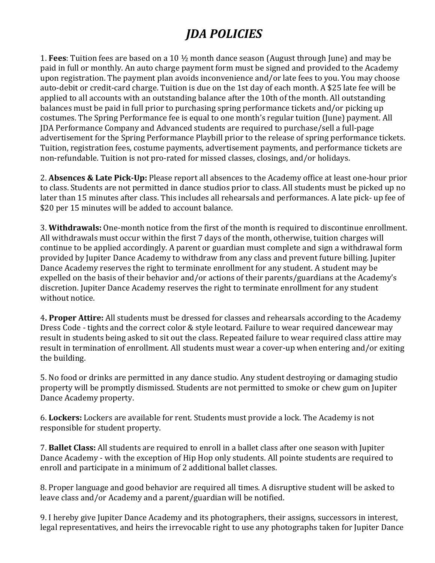## *JDA POLICIES*

1. **Fees**: Tuition fees are based on a 10  $\frac{1}{2}$  month dance season (August through June) and may be paid in full or monthly. An auto charge payment form must be signed and provided to the Academy upon registration. The payment plan avoids inconvenience and/or late fees to you. You may choose auto-debit or credit-card charge. Tuition is due on the 1st day of each month. A \$25 late fee will be applied to all accounts with an outstanding balance after the 10th of the month. All outstanding balances must be paid in full prior to purchasing spring performance tickets and/or picking up costumes. The Spring Performance fee is equal to one month's regular tuition (June) payment. All JDA Performance Company and Advanced students are required to purchase/sell a full-page advertisement for the Spring Performance Playbill prior to the release of spring performance tickets. Tuition, registration fees, costume payments, advertisement payments, and performance tickets are non-refundable. Tuition is not pro-rated for missed classes, closings, and/or holidays.

2. **Absences & Late Pick-Up:** Please report all absences to the Academy office at least one-hour prior to class. Students are not permitted in dance studios prior to class. All students must be picked up no later than 15 minutes after class. This includes all rehearsals and performances. A late pick- up fee of \$20 per 15 minutes will be added to account balance.

3. **Withdrawals:** One-month notice from the first of the month is required to discontinue enrollment. All withdrawals must occur within the first  $7$  days of the month, otherwise, tuition charges will continue to be applied accordingly. A parent or guardian must complete and sign a withdrawal form provided by Jupiter Dance Academy to withdraw from any class and prevent future billing. Jupiter Dance Academy reserves the right to terminate enrollment for any student. A student may be expelled on the basis of their behavior and/or actions of their parents/guardians at the Academy's discretion. Jupiter Dance Academy reserves the right to terminate enrollment for any student without notice.

4. **Proper Attire:** All students must be dressed for classes and rehearsals according to the Academy Dress Code - tights and the correct color & style leotard. Failure to wear required dancewear may result in students being asked to sit out the class. Repeated failure to wear required class attire may result in termination of enrollment. All students must wear a cover-up when entering and/or exiting the building.

5. No food or drinks are permitted in any dance studio. Any student destroying or damaging studio property will be promptly dismissed. Students are not permitted to smoke or chew gum on Jupiter Dance Academy property.

6. **Lockers:** Lockers are available for rent. Students must provide a lock. The Academy is not responsible for student property.

**7. Ballet Class:** All students are required to enroll in a ballet class after one season with Jupiter Dance Academy - with the exception of Hip Hop only students. All pointe students are required to enroll and participate in a minimum of 2 additional ballet classes.

8. Proper language and good behavior are required all times. A disruptive student will be asked to leave class and/or Academy and a parent/guardian will be notified.

9. I hereby give Jupiter Dance Academy and its photographers, their assigns, successors in interest, legal representatives, and heirs the irrevocable right to use any photographs taken for Jupiter Dance